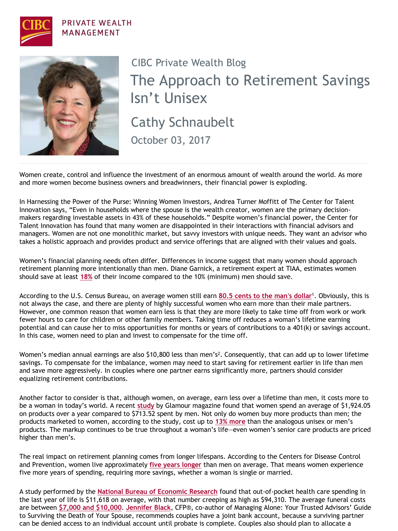

## **PRIVATE WEALTH** MANAGEMENT



## Cathy Schnaubelt The Approach to Retirement Savings Isn't Unisex CIBC Private Wealth Blog

October 03, 2017

Women create, control and influence the investment of an enormous amount of wealth around the world. As more and more women become business owners and breadwinners, their financial power is exploding.

In Harnessing the Power of the Purse: Winning Women Investors, Andrea Turner Moffitt of The Center for Talent Innovation says, "Even in households where the spouse is the wealth creator, women are the primary decisionmakers regarding investable assets in 43% of these households." Despite women's financial power, the Center for Talent Innovation has found that many women are disappointed in their interactions with financial advisors and managers. Women are not one monolithic market, but savvy investors with unique needs. They want an advisor who takes a holistic approach and provides product and service offerings that are aligned with their values and goals.

Women's financial planning needs often differ. Differences in income suggest that many women should approach retirement planning more intentionally than men. Diane Garnick, a retirement expert at TIAA, estimates women should save at least **[18%](https://poseidon01.ssrn.com/delivery.php?ID=78711907000111601700111902009106806812500506801309302607507511408810108110010012108502905506310403901006002411600801008700509901903607500500001509702201912506812709100603512211106711902103109701211411112)** of their income compared to the 10% (minimum) men should save.

According to the U.S. Census Bureau, on average women still earn **[80.5 cents to the man's dollar](https://www.jec.senate.gov/public/_cache/files/0779dc2f-4a4e-4386-b847-9ae919735acc/gender-pay-inequality----us-congress-joint-economic-committee.pdf)**1. Obviously, this is not always the case, and there are plenty of highly successful women who earn more than their male partners. However, one common reason that women earn less is that they are more likely to take time off from work or work fewer hours to care for children or other family members. Taking time off reduces a woman's lifetime earning potential and can cause her to miss opportunities for months or years of contributions to a 401(k) or savings account. In this case, women need to plan and invest to compensate for the time off.

Women's median annual earnings are also \$10,800 less than men's<sup>2</sup>. Consequently, that can add up to lower lifetime savings. To compensate for the imbalance, women may need to start saving for retirement earlier in life than men and save more aggressively. In couples where one partner earns significantly more, partners should consider equalizing retirement contributions.

Another factor to consider is that, although women, on average, earn less over a lifetime than men, it costs more to be a woman in today's world. A recent **[study](https://www.youtube.com/watch?v=e7jfCp8sKOE)** by Glamour magazine found that women spend an average of \$1,924.05 on products over a year compared to \$713.52 spent by men. Not only do women buy more products than men; the products marketed to women, according to the study, cost up to **[13% more](http://www1.nyc.gov/assets/dca/downloads/pdf/partners/Study-of-Gender-Pricing-in-NYC.pdf)** than the analogous unisex or men's products. The markup continues to be true throughout a woman's life—even women's senior care products are priced higher than men's.

The real impact on retirement planning comes from longer lifespans. According to the Centers for Disease Control and Prevention, women live approximately **[five years longer](https://www.usatoday.com/story/news/nation/2014/10/08/us-life-expectancy-hits-record-high/16874039/)** than men on average. That means women experience five more years of spending, requiring more savings, whether a woman is single or married.

A study performed by the **[National Bureau of Economic Research](http://www.nber.org/papers/w16170)** found that out-of-pocket health care spending in the last year of life is \$11,618 on average, with that number creeping as high as \$94,310. The average funeral costs are between **[\\$7,000 and \\$10,000](https://www.parting.com/blog/funeral-costs-how-much-does-an-average-funeral-cost/)**. **[Jennifer Black](http://www.theglobeandmail.com/globe-investor/personal-finance/household-finances/why-the-joint-bank-account-is-a-must-for-married-couples/article17858685/)**, CFP®, co-author of Managing Alone: Your Trusted Advisors' Guide to Surviving the Death of Your Spouse, recommends couples have a joint bank account, because a surviving partner can be denied access to an individual account until probate is complete. Couples also should plan to allocate a